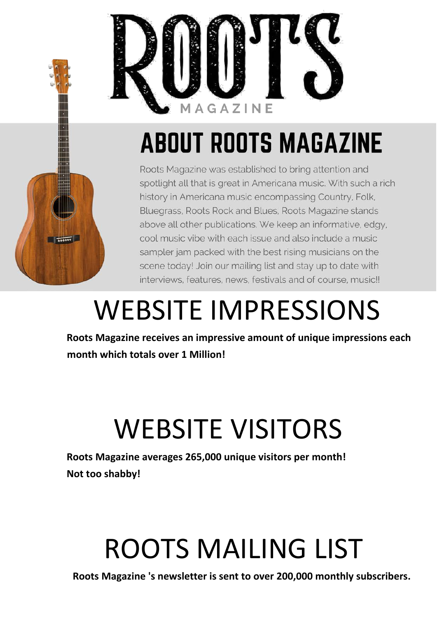

## **ABOUT ROOTS MAGAZINE**



Roots Magazine was established to bring attention and spotlight all that is great in Americana music. With such a rich history in Americana music encompassing Country, Folk, Bluegrass, Roots Rock and Blues, Roots Magazine stands above all other publications. We keep an informative, edgy, cool music vibe with each issue and also include a music sampler jam packed with the best rising musicians on the scene today! Join our mailing list and stay up to date with interviews, features, news, festivals and of course, music!!

### WEBSITE IMPRESSIONS

**Roots Magazine receives an impressive amount of unique impressions each month which totals over 1 Million!**

# WEBSITE VISITORS

**Roots Magazine averages 265,000 unique visitors per month! Not too shabby!**

# ROOTS MAILING LIST

**Roots Magazine 's newsletter is sent to over 200,000 monthly subscribers.**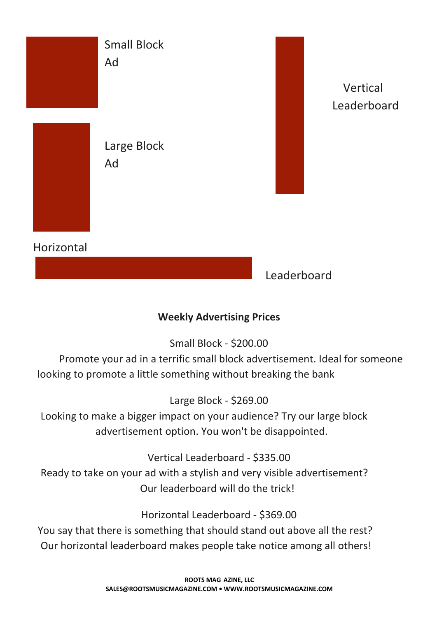

#### **Weekly Advertising Prices**

Small Block - \$200.00

Promote your ad in a terrific small block advertisement. Ideal for someone looking to promote a little something without breaking the bank

Large Block - \$269.00

Looking to make a bigger impact on your audience? Try our large block advertisement option. You won't be disappointed.

Vertical Leaderboard - \$335.00

Ready to take on your ad with a stylish and very visible advertisement? Our leaderboard will do the trick!

Horizontal Leaderboard - \$369.00

You say that there is something that should stand out above all the rest? Our horizontal leaderboard makes people take notice among all others!

> **ROOTS MAG AZINE, LLC SALES@ROOTSMUSICMAGAZINE.COM • WWW.ROOTSMUSICMAGAZINE.COM**